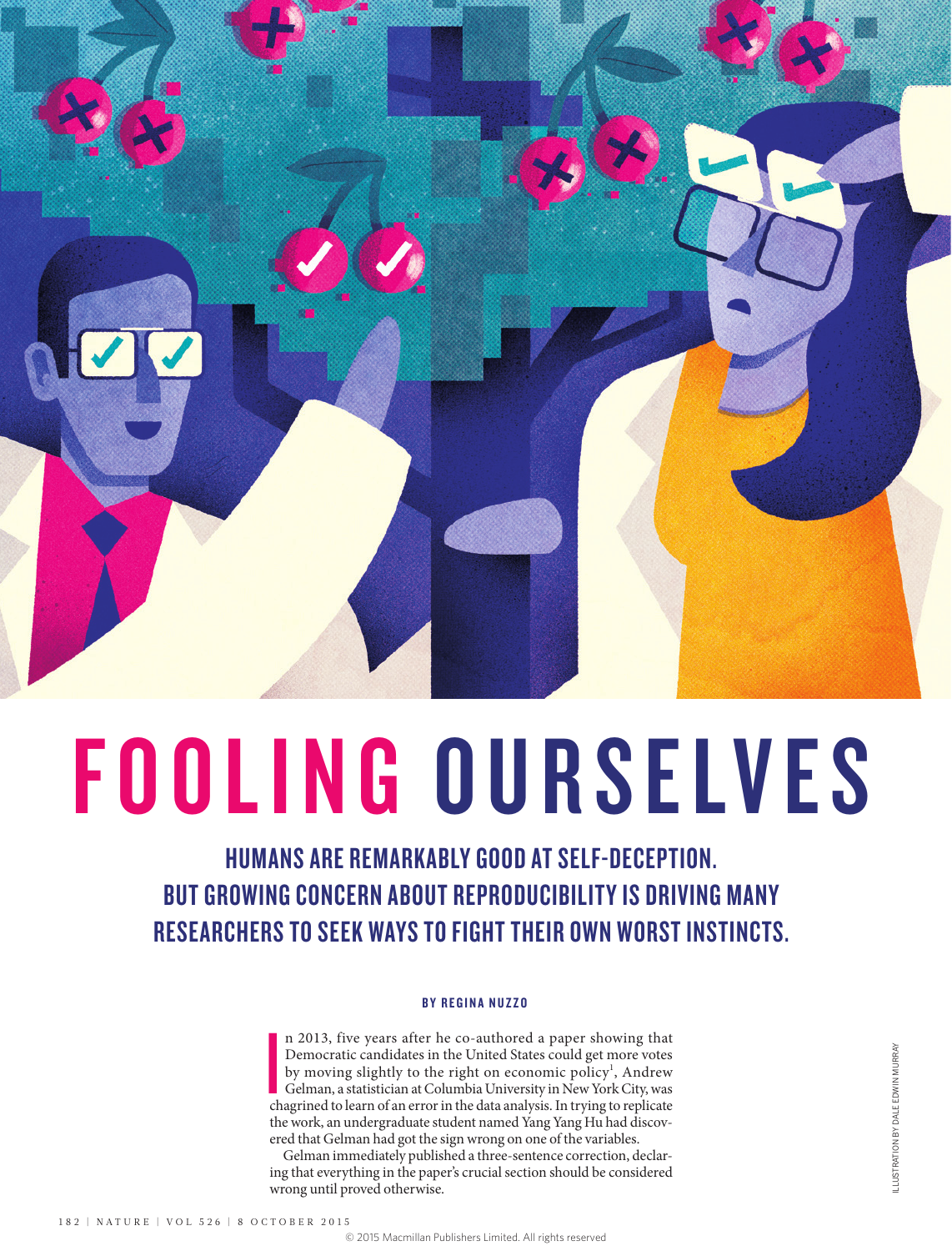

# FOOLING OURSELVES

HUMANS ARE REMARKABLY GOOD AT SELF-DECEPTION. BUT GROWING CONCERN ABOUT REPRODUCIBILITY IS DRIVING MANY RESEARCHERS TO SEEK WAYS TO FIGHT THEIR OWN WORST INSTINCTS.

#### BY REGINA NUZZO

**I**<br>I<br>Ch n 2013, five years after he co-authored a paper showing that Democratic candidates in the United States could get more votes by moving slightly to the right on economic policy<sup>1</sup>, Andrew Gelman, a statistician at Columbia University in New York City, was chagrined to learn of an error in the data analysis. In trying to replicate the work, an undergraduate student named Yang Yang Hu had discovered that Gelman had got the sign wrong on one of the variables.

Gelman immediately published a three-sentence correction, declaring that everything in the paper's crucial section should be considered wrong until proved otherwise.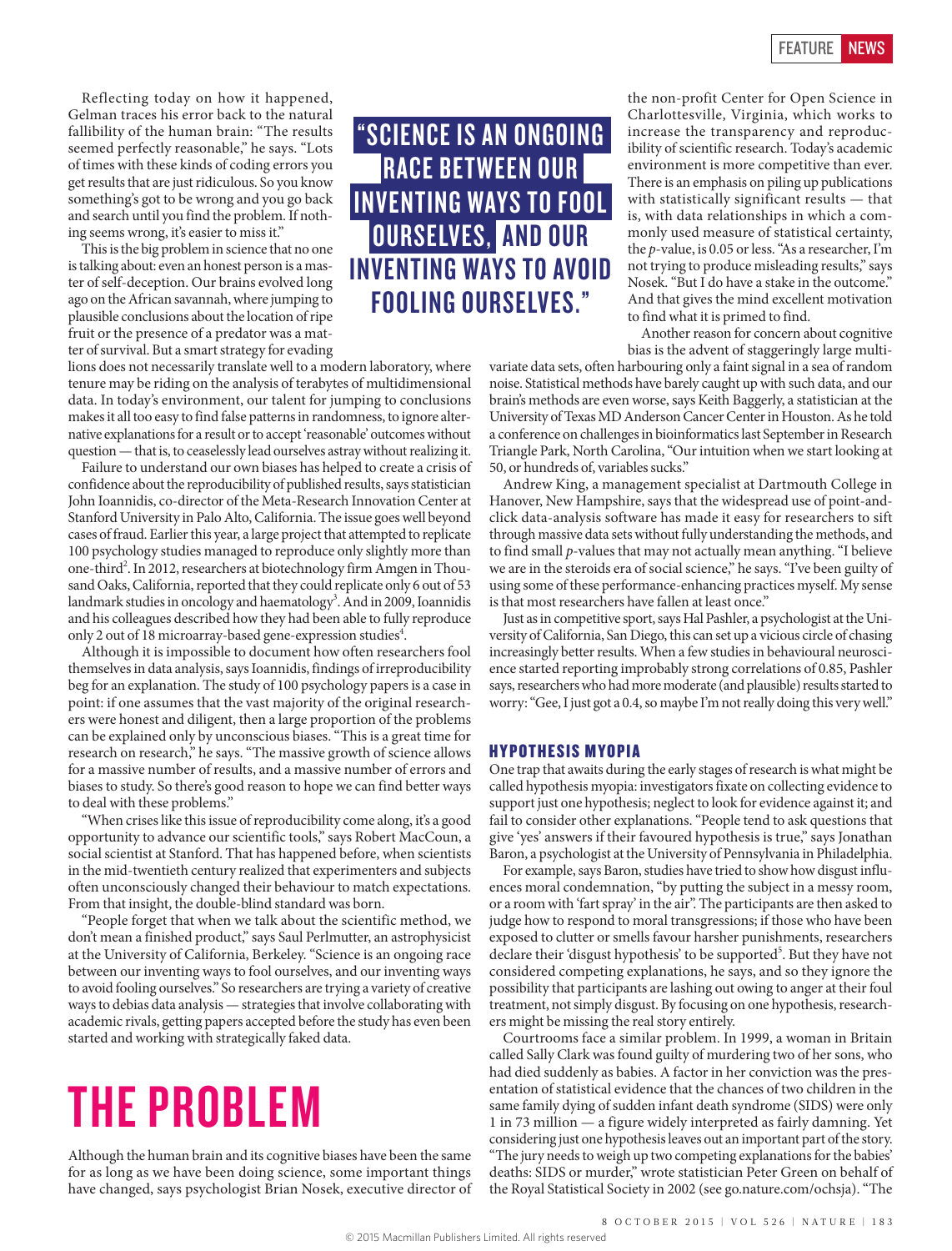Reflecting today on how it happened, Gelman traces his error back to the natural fallibility of the human brain: "The results seemed perfectly reasonable," he says. "Lots of times with these kinds of coding errors you get results that are just ridiculous. So you know something's got to be wrong and you go back and search until you find the problem. If nothing seems wrong, it's easier to miss it."

This is the big problem in science that no one is talking about: even an honest person is a master of self-deception. Our brains evolved long ago on the African savannah, where jumping to plausible conclusions about the location of ripe fruit or the presence of a predator was a matter of survival. But a smart strategy for evading

lions does not necessarily translate well to a modern laboratory, where tenure may be riding on the analysis of terabytes of multidimensional data. In today's environment, our talent for jumping to conclusions makes it all too easy to find false patterns in randomness, to ignore alternative explanations for a result or to accept 'reasonable' outcomes without question — that is, to ceaselessly lead ourselves astray without realizing it.

Failure to understand our own biases has helped to create a crisis of confidence about the reproducibility of published results, says statistician John Ioannidis, co-director of the Meta-Research Innovation Center at Stanford University in Palo Alto, California. The issue goes well beyond cases of fraud. Earlier this year, a large project that attempted to replicate 100 psychology studies managed to reproduce only slightly more than one-third<sup>2</sup>. In 2012, researchers at biotechnology firm Amgen in Thousand Oaks, California, reported that they could replicate only 6 out of 53 landmark studies in oncology and haematology<sup>3</sup>. And in 2009, Ioannidis and his colleagues described how they had been able to fully reproduce only 2 out of 18 microarray-based gene-expression studies<sup>4</sup>.

Although it is impossible to document how often researchers fool themselves in data analysis, says Ioannidis, findings of irreproducibility beg for an explanation. The study of 100 psychology papers is a case in point: if one assumes that the vast majority of the original researchers were honest and diligent, then a large proportion of the problems can be explained only by unconscious biases. "This is a great time for research on research," he says. "The massive growth of science allows for a massive number of results, and a massive number of errors and biases to study. So there's good reason to hope we can find better ways to deal with these problems."

"When crises like this issue of reproducibility come along, it's a good opportunity to advance our scientific tools," says Robert MacCoun, a social scientist at Stanford. That has happened before, when scientists in the mid-twentieth century realized that experimenters and subjects often unconsciously changed their behaviour to match expectations. From that insight, the double-blind standard was born.

"People forget that when we talk about the scientific method, we don't mean a finished product," says Saul Perlmutter, an astrophysicist at the University of California, Berkeley. "Science is an ongoing race between our inventing ways to fool ourselves, and our inventing ways to avoid fooling ourselves." So researchers are trying a variety of creative ways to debias data analysis — strategies that involve collaborating with academic rivals, getting papers accepted before the study has even been started and working with strategically faked data.

## THE PROBLEM

Although the human brain and its cognitive biases have been the same for as long as we have been doing science, some important things have changed, says psychologist Brian Nosek, executive director of

"SCIENCE IS AN ONGOING RACE BETWEEN OUR INVENTING WAYS TO FOOL OURSELVES, AND OUR INVENTING WAYS TO AVOID FOOLING OURSELVES."

the non-profit Center for Open Science in Charlottesville, Virginia, which works to increase the transparency and reproducibility of scientific research. Today's academic environment is more competitive than ever. There is an emphasis on piling up publications with statistically significant results — that is, with data relationships in which a commonly used measure of statistical certainty, the *p*-value, is 0.05 or less. "As a researcher, I'm not trying to produce misleading results," says Nosek. "But I do have a stake in the outcome." And that gives the mind excellent motivation to find what it is primed to find.

Another reason for concern about cognitive bias is the advent of staggeringly large multi-

variate data sets, often harbouring only a faint signal in a sea of random noise. Statistical methods have barely caught up with such data, and our brain's methods are even worse, says Keith Baggerly, a statistician at the University of Texas MD Anderson Cancer Center in Houston. As he told a conference on challenges in bioinformatics last September in Research Triangle Park, North Carolina, "Our intuition when we start looking at 50, or hundreds of, variables sucks."

Andrew King, a management specialist at Dartmouth College in Hanover, New Hampshire, says that the widespread use of point-andclick data-analysis software has made it easy for researchers to sift through massive data sets without fully understanding the methods, and to find small *p*-values that may not actually mean anything. "I believe we are in the steroids era of social science," he says. "I've been guilty of using some of these performance-enhancing practices myself. My sense is that most researchers have fallen at least once."

Just as in competitive sport, says Hal Pashler, a psychologist at the University of California, San Diego, this can set up a vicious circle of chasing increasingly better results. When a few studies in behavioural neuroscience started reporting improbably strong correlations of 0.85, Pashler says, researchers who had more moderate (and plausible) results started to worry: "Gee, I just got a 0.4, so maybe I'm not really doing this very well."

#### HYPOTHESIS MYOPIA

One trap that awaits during the early stages of research is what might be called hypothesis myopia: investigators fixate on collecting evidence to support just one hypothesis; neglect to look for evidence against it; and fail to consider other explanations. "People tend to ask questions that give 'yes' answers if their favoured hypothesis is true," says Jonathan Baron, a psychologist at the University of Pennsylvania in Philadelphia.

For example, says Baron, studies have tried to show how disgust influences moral condemnation, "by putting the subject in a messy room, or a room with 'fart spray' in the air". The participants are then asked to judge how to respond to moral transgressions; if those who have been exposed to clutter or smells favour harsher punishments, researchers declare their 'disgust hypothesis' to be supported<sup>5</sup>. But they have not considered competing explanations, he says, and so they ignore the possibility that participants are lashing out owing to anger at their foul treatment, not simply disgust. By focusing on one hypothesis, researchers might be missing the real story entirely.

Courtrooms face a similar problem. In 1999, a woman in Britain called Sally Clark was found guilty of murdering two of her sons, who had died suddenly as babies. A factor in her conviction was the presentation of statistical evidence that the chances of two children in the same family dying of sudden infant death syndrome (SIDS) were only 1 in 73 million — a figure widely interpreted as fairly damning. Yet considering just one hypothesis leaves out an important part of the story. "The jury needs to weigh up two competing explanations for the babies' deaths: SIDS or murder," wrote statistician Peter Green on behalf of the Royal Statistical Society in 2002 (see go.nature.com/ochsja). "The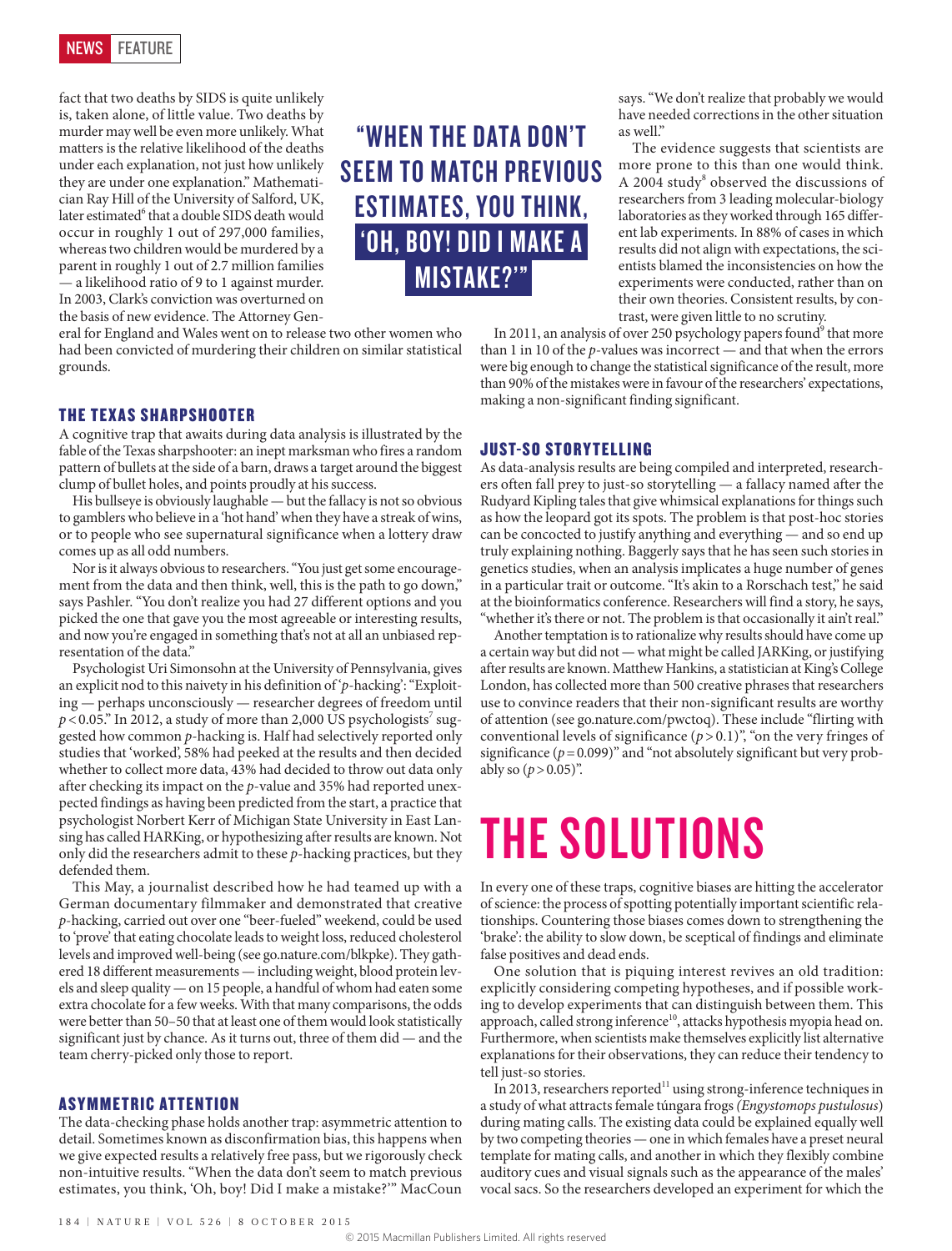

fact that two deaths by SIDS is quite unlikely is, taken alone, of little value. Two deaths by murder may well be even more unlikely. What matters is the relative likelihood of the deaths under each explanation, not just how unlikely they are under one explanation." Mathematician Ray Hill of the University of Salford, UK, later estimated<sup>6</sup> that a double SIDS death would occur in roughly 1 out of 297,000 families, whereas two children would be murdered by a parent in roughly 1 out of 2.7 million families — a likelihood ratio of 9 to 1 against murder. In 2003, Clark's conviction was overturned on the basis of new evidence. The Attorney Gen-

eral for England and Wales went on to release two other women who had been convicted of murdering their children on similar statistical grounds.

#### THE TEXAS SHARPSHOOTER

A cognitive trap that awaits during data analysis is illustrated by the fable of the Texas sharpshooter: an inept marksman who fires a random pattern of bullets at the side of a barn, draws a target around the biggest clump of bullet holes, and points proudly at his success.

His bullseye is obviously laughable — but the fallacy is not so obvious to gamblers who believe in a 'hot hand' when they have a streak of wins, or to people who see supernatural significance when a lottery draw comes up as all odd numbers.

Nor is it always obvious to researchers. "You just get some encouragement from the data and then think, well, this is the path to go down," says Pashler. "You don't realize you had 27 different options and you picked the one that gave you the most agreeable or interesting results, and now you're engaged in something that's not at all an unbiased representation of the data."

Psychologist Uri Simonsohn at the University of Pennsylvania, gives an explicit nod to this naivety in his definition of '*p*-hacking': "Exploiting — perhaps unconsciously — researcher degrees of freedom until  $p$  < 0.05." In 2012, a study of more than 2,000 US psychologists<sup>7</sup> suggested how common *p*-hacking is. Half had selectively reported only studies that 'worked', 58% had peeked at the results and then decided whether to collect more data, 43% had decided to throw out data only after checking its impact on the *p*-value and 35% had reported unexpected findings as having been predicted from the start, a practice that psychologist Norbert Kerr of Michigan State University in East Lansing has called HARKing, or hypothesizing after results are known. Not only did the researchers admit to these *p*-hacking practices, but they defended them.

This May, a journalist described how he had teamed up with a German documentary filmmaker and demonstrated that creative *p*-hacking, carried out over one "beer-fueled" weekend, could be used to 'prove' that eating chocolate leads to weight loss, reduced cholesterol levels and improved well-being (see go.nature.com/blkpke). They gathered 18 different measurements — including weight, blood protein levels and sleep quality — on 15 people, a handful of whom had eaten some extra chocolate for a few weeks. With that many comparisons, the odds were better than 50–50 that at least one of them would look statistically significant just by chance. As it turns out, three of them did — and the team cherry-picked only those to report.

#### **ASYMMETRIC ATTENTION**

The data-checking phase holds another trap: asymmetric attention to detail. Sometimes known as disconfirmation bias, this happens when we give expected results a relatively free pass, but we rigorously check non-intuitive results. "When the data don't seem to match previous estimates, you think, 'Oh, boy! Did I make a mistake?'" MacCoun

"WHEN THE DATA DON'T SEEM TO MATCH PREVIOUS ESTIMATES, YOU THINK, 'OH, BOY! DID I MAKE A MISTAKE?'"

says. "We don't realize that probably we would have needed corrections in the other situation as well."

The evidence suggests that scientists are more prone to this than one would think. A 2004 study<sup>8</sup> observed the discussions of researchers from 3 leading molecular-biology laboratories as they worked through 165 different lab experiments. In 88% of cases in which results did not align with expectations, the scientists blamed the inconsistencies on how the experiments were conducted, rather than on their own theories. Consistent results, by contrast, were given little to no scrutiny.

In 2011, an analysis of over 250 psychology papers found<sup>9</sup> that more than 1 in 10 of the *p*-values was incorrect — and that when the errors were big enough to change the statistical significance of the result, more than 90% of the mistakes were in favour of the researchers' expectations, making a non-significant finding significant.

#### JUST-SO STORYTELLING

As data-analysis results are being compiled and interpreted, researchers often fall prey to just-so storytelling — a fallacy named after the Rudyard Kipling tales that give whimsical explanations for things such as how the leopard got its spots. The problem is that post-hoc stories can be concocted to justify anything and everything — and so end up truly explaining nothing. Baggerly says that he has seen such stories in genetics studies, when an analysis implicates a huge number of genes in a particular trait or outcome. "It's akin to a Rorschach test," he said at the bioinformatics conference. Researchers will find a story, he says, "whether it's there or not. The problem is that occasionally it ain't real."

Another temptation is to rationalize why results should have come up a certain way but did not — what might be called JARKing, or justifying after results are known. Matthew Hankins, a statistician at King's College London, has collected more than 500 creative phrases that researchers use to convince readers that their non-significant results are worthy of attention (see go.nature.com/pwctoq). These include "flirting with conventional levels of significance  $(p>0.1)$ ", "on the very fringes of significance  $(p=0.099)$ " and "not absolutely significant but very probably so  $(p > 0.05)$ ".

### THE SOLUTIONS

In every one of these traps, cognitive biases are hitting the accelerator of science: the process of spotting potentially important scientific relationships. Countering those biases comes down to strengthening the 'brake': the ability to slow down, be sceptical of findings and eliminate false positives and dead ends.

One solution that is piquing interest revives an old tradition: explicitly considering competing hypotheses, and if possible working to develop experiments that can distinguish between them. This approach, called strong inference<sup>10</sup>, attacks hypothesis myopia head on. Furthermore, when scientists make themselves explicitly list alternative explanations for their observations, they can reduce their tendency to tell just-so stories.

In 2013, researchers reported<sup>11</sup> using strong-inference techniques in a study of what attracts female túngara frogs *(Engystomops pustulosus*) during mating calls. The existing data could be explained equally well by two competing theories — one in which females have a preset neural template for mating calls, and another in which they flexibly combine auditory cues and visual signals such as the appearance of the males' vocal sacs. So the researchers developed an experiment for which the